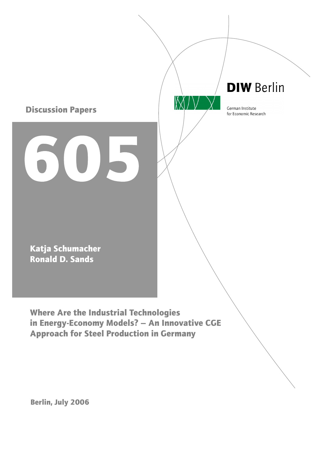

Approach for Steel Production in Germany

Berlin, July 2006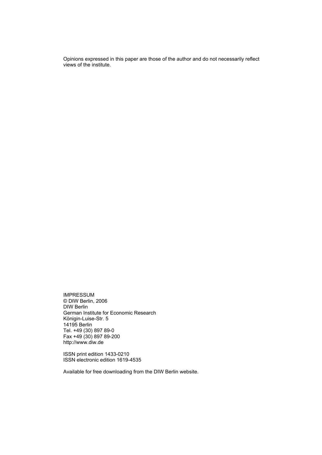Opinions expressed in this paper are those of the author and do not necessarily reflect views of the institute.

IMPRESSUM © DIW Berlin, 2006 DIW Berlin German Institute for Economic Research Königin-Luise-Str. 5 14195 Berlin Tel. +49 (30) 897 89-0 Fax +49 (30) 897 89-200 http://www.diw.de

ISSN print edition 1433-0210 ISSN electronic edition 1619-4535

Available for free downloading from the DIW Berlin website.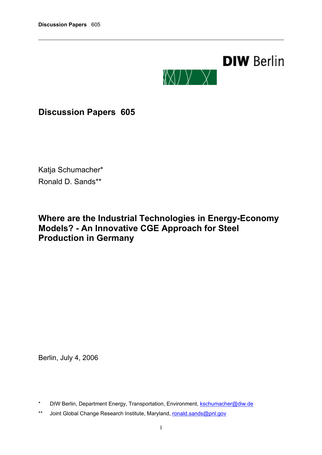

**Discussion Papers 605**

Katja Schumacher\* Ronald D. Sands\*\*

# **Where are the Industrial Technologies in Energy-Economy Models? - An Innovative CGE Approach for Steel Production in Germany**

Berlin, July 4, 2006

\*\* Joint Global Change Research Institute, Maryland, [ronald.sands@pnl.gov](mailto:ronald.sands@pnl.gov)

<sup>\*</sup> DIW Berlin, Department Energy, Transportation, Environment, [kschumacher@diw.de](mailto:kschumacher@diw.de)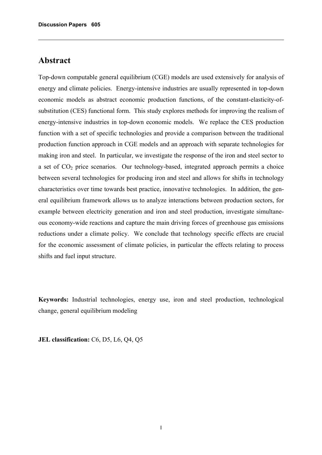# **Abstract**

Top-down computable general equilibrium (CGE) models are used extensively for analysis of energy and climate policies. Energy-intensive industries are usually represented in top-down economic models as abstract economic production functions, of the constant-elasticity-ofsubstitution (CES) functional form. This study explores methods for improving the realism of energy-intensive industries in top-down economic models. We replace the CES production function with a set of specific technologies and provide a comparison between the traditional production function approach in CGE models and an approach with separate technologies for making iron and steel. In particular, we investigate the response of the iron and steel sector to a set of  $CO<sub>2</sub>$  price scenarios. Our technology-based, integrated approach permits a choice between several technologies for producing iron and steel and allows for shifts in technology characteristics over time towards best practice, innovative technologies. In addition, the general equilibrium framework allows us to analyze interactions between production sectors, for example between electricity generation and iron and steel production, investigate simultaneous economy-wide reactions and capture the main driving forces of greenhouse gas emissions reductions under a climate policy. We conclude that technology specific effects are crucial for the economic assessment of climate policies, in particular the effects relating to process shifts and fuel input structure.

**Keywords:** Industrial technologies, energy use, iron and steel production, technological change, general equilibrium modeling

**JEL classification:** C6, D5, L6, Q4, Q5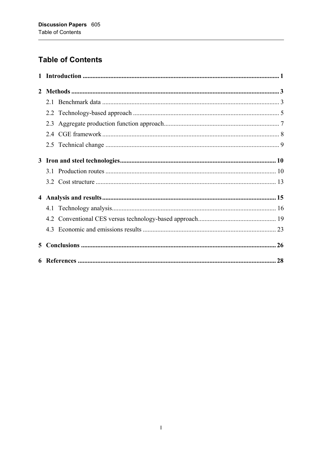# **Table of Contents**

| $\mathbf{2}$ |     |  |
|--------------|-----|--|
|              |     |  |
|              |     |  |
|              | 2.3 |  |
|              |     |  |
|              |     |  |
|              |     |  |
|              |     |  |
|              |     |  |
|              |     |  |
|              |     |  |
|              |     |  |
|              |     |  |
| 5            |     |  |
|              |     |  |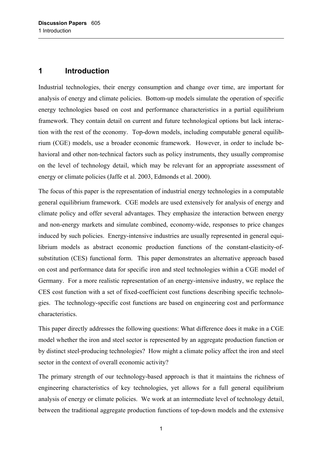## <span id="page-6-0"></span>**1 Introduction**

Industrial technologies, their energy consumption and change over time, are important for analysis of energy and climate policies. Bottom-up models simulate the operation of specific energy technologies based on cost and performance characteristics in a partial equilibrium framework. They contain detail on current and future technological options but lack interaction with the rest of the economy. Top-down models, including computable general equilibrium (CGE) models, use a broader economic framework. However, in order to include behavioral and other non-technical factors such as policy instruments, they usually compromise on the level of technology detail, which may be relevant for an appropriate assessment of energy or climate policies (Jaffe et al. 2003, Edmonds et al. 2000).

The focus of this paper is the representation of industrial energy technologies in a computable general equilibrium framework. CGE models are used extensively for analysis of energy and climate policy and offer several advantages. They emphasize the interaction between energy and non-energy markets and simulate combined, economy-wide, responses to price changes induced by such policies. Energy-intensive industries are usually represented in general equilibrium models as abstract economic production functions of the constant-elasticity-ofsubstitution (CES) functional form. This paper demonstrates an alternative approach based on cost and performance data for specific iron and steel technologies within a CGE model of Germany. For a more realistic representation of an energy-intensive industry, we replace the CES cost function with a set of fixed-coefficient cost functions describing specific technologies. The technology-specific cost functions are based on engineering cost and performance characteristics.

This paper directly addresses the following questions: What difference does it make in a CGE model whether the iron and steel sector is represented by an aggregate production function or by distinct steel-producing technologies? How might a climate policy affect the iron and steel sector in the context of overall economic activity?

The primary strength of our technology-based approach is that it maintains the richness of engineering characteristics of key technologies, yet allows for a full general equilibrium analysis of energy or climate policies. We work at an intermediate level of technology detail, between the traditional aggregate production functions of top-down models and the extensive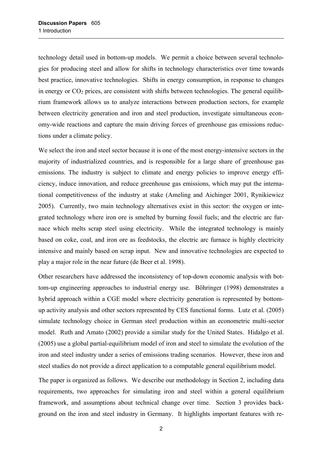technology detail used in bottom-up models. We permit a choice between several technologies for producing steel and allow for shifts in technology characteristics over time towards best practice, innovative technologies. Shifts in energy consumption, in response to changes in energy or  $CO<sub>2</sub>$  prices, are consistent with shifts between technologies. The general equilibrium framework allows us to analyze interactions between production sectors, for example between electricity generation and iron and steel production, investigate simultaneous economy-wide reactions and capture the main driving forces of greenhouse gas emissions reductions under a climate policy.

We select the iron and steel sector because it is one of the most energy-intensive sectors in the majority of industrialized countries, and is responsible for a large share of greenhouse gas emissions. The industry is subject to climate and energy policies to improve energy efficiency, induce innovation, and reduce greenhouse gas emissions, which may put the international competitiveness of the industry at stake (Ameling and Aichinger 2001, Rynikiewicz 2005). Currently, two main technology alternatives exist in this sector: the oxygen or integrated technology where iron ore is smelted by burning fossil fuels; and the electric arc furnace which melts scrap steel using electricity. While the integrated technology is mainly based on coke, coal, and iron ore as feedstocks, the electric arc furnace is highly electricity intensive and mainly based on scrap input. New and innovative technologies are expected to play a major role in the near future (de Beer et al. 1998).

Other researchers have addressed the inconsistency of top-down economic analysis with bottom-up engineering approaches to industrial energy use. Böhringer (1998) demonstrates a hybrid approach within a CGE model where electricity generation is represented by bottomup activity analysis and other sectors represented by CES functional forms. Lutz et al. (2005) simulate technology choice in German steel production within an econometric multi-sector model. Ruth and Amato (2002) provide a similar study for the United States. Hidalgo et al. (2005) use a global partial-equilibrium model of iron and steel to simulate the evolution of the iron and steel industry under a series of emissions trading scenarios. However, these iron and steel studies do not provide a direct application to a computable general equilibrium model.

The paper is organized as follows. We describe our methodology in Section 2, including data requirements, two approaches for simulating iron and steel within a general equilibrium framework, and assumptions about technical change over time. Section 3 provides background on the iron and steel industry in Germany. It highlights important features with re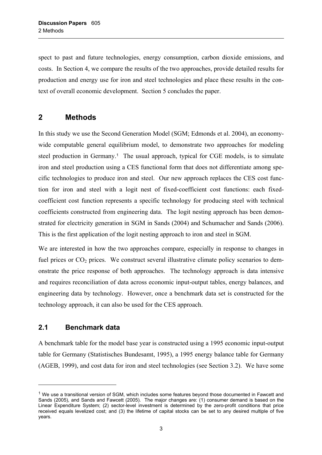<span id="page-8-0"></span>spect to past and future technologies, energy consumption, carbon dioxide emissions, and costs. In Section 4, we compare the results of the two approaches, provide detailed results for production and energy use for iron and steel technologies and place these results in the context of overall economic development. Section 5 concludes the paper.

## **2 Methods**

In this study we use the Second Generation Model (SGM; Edmonds et al. 2004), an economywide computable general equilibrium model, to demonstrate two approaches for modeling steel production in Germany.<sup>[1](#page-8-1)</sup> The usual approach, typical for CGE models, is to simulate iron and steel production using a CES functional form that does not differentiate among specific technologies to produce iron and steel. Our new approach replaces the CES cost function for iron and steel with a logit nest of fixed-coefficient cost functions: each fixedcoefficient cost function represents a specific technology for producing steel with technical coefficients constructed from engineering data. The logit nesting approach has been demonstrated for electricity generation in SGM in Sands (2004) and Schumacher and Sands (2006). This is the first application of the logit nesting approach to iron and steel in SGM.

We are interested in how the two approaches compare, especially in response to changes in fuel prices or  $CO<sub>2</sub>$  prices. We construct several illustrative climate policy scenarios to demonstrate the price response of both approaches. The technology approach is data intensive and requires reconciliation of data across economic input-output tables, energy balances, and engineering data by technology. However, once a benchmark data set is constructed for the technology approach, it can also be used for the CES approach.

### **2.1 Benchmark data**

l

A benchmark table for the model base year is constructed using a 1995 economic input-output table for Germany (Statistisches Bundesamt, 1995), a 1995 energy balance table for Germany (AGEB, 1999), and cost data for iron and steel technologies (see Section [3.2\)](#page-18-1). We have some

<span id="page-8-1"></span> $1$  We use a transitional version of SGM, which includes some features beyond those documented in Fawcett and Sands (2005), and Sands and Fawcett (2005). The major changes are: (1) consumer demand is based on the Linear Expenditure System; (2) sector-level investment is determined by the zero-profit conditions that price received equals levelized cost; and (3) the lifetime of capital stocks can be set to any desired multiple of five years.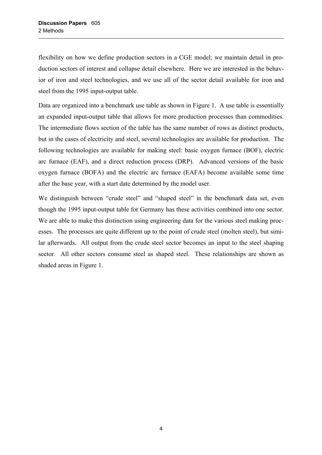flexibility on how we define production sectors in a CGE model; we maintain detail in production sectors of interest and collapse detail elsewhere. Here we are interested in the behavior of iron and steel technologies, and we use all of the sector detail available for iron and steel from the 1995 input-output table.

Data are organized into a benchmark use table as shown in [Figure 1.](#page-10-1) A use table is essentially an expanded input-output table that allows for more production processes than commodities. The intermediate flows section of the table has the same number of rows as distinct products, but in the cases of electricity and steel, several technologies are available for production. The following technologies are available for making steel: basic oxygen furnace (BOF), electric arc furnace (EAF), and a direct reduction process (DRP). Advanced versions of the basic oxygen furnace (BOFA) and the electric arc furnace (EAFA) become available some time after the base year, with a start date determined by the model user.

We distinguish between "crude steel" and "shaped steel" in the benchmark data set, even though the 1995 input-output table for Germany has these activities combined into one sector. We are able to make this distinction using engineering data for the various steel making processes. The processes are quite different up to the point of crude steel (molten steel), but similar afterwards. All output from the crude steel sector becomes an input to the steel shaping sector. All other sectors consume steel as shaped steel. These relationships are shown as shaded areas in [Figure 1.](#page-10-1)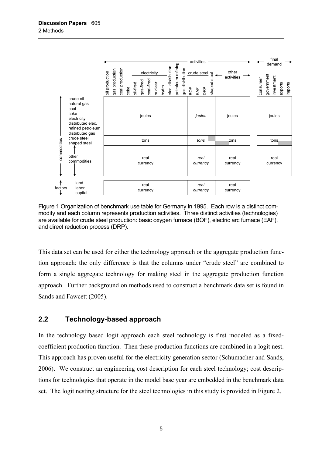<span id="page-10-0"></span>

<span id="page-10-1"></span>Figure 1 Organization of benchmark use table for Germany in 1995. Each row is a distinct commodity and each column represents production activities. Three distinct activities (technologies) are available for crude steel production: basic oxygen furnace (BOF), electric arc furnace (EAF), and direct reduction process (DRP).

This data set can be used for either the technology approach or the aggregate production function approach: the only difference is that the columns under "crude steel" are combined to form a single aggregate technology for making steel in the aggregate production function approach. Further background on methods used to construct a benchmark data set is found in Sands and Fawcett (2005).

### <span id="page-10-2"></span>**2.2 Technology-based approach**

In the technology based logit approach each steel technology is first modeled as a fixedcoefficient production function. Then these production functions are combined in a logit nest. This approach has proven useful for the electricity generation sector (Schumacher and Sands, 2006). We construct an engineering cost description for each steel technology; cost descriptions for technologies that operate in the model base year are embedded in the benchmark data set. The logit nesting structure for the steel technologies in this study is provided in [Figure 2.](#page-11-0)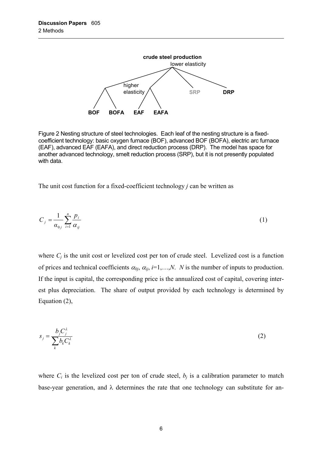

<span id="page-11-0"></span>Figure 2 Nesting structure of steel technologies. Each leaf of the nesting structure is a fixedcoefficient technology: basic oxygen furnace (BOF), advanced BOF (BOFA), electric arc furnace (EAF), advanced EAF (EAFA), and direct reduction process (DRP). The model has space for another advanced technology, smelt reduction process (SRP), but it is not presently populated with data.

The unit cost function for a fixed-coefficient technology *j* can be written as

$$
C_j = \frac{1}{\alpha_{0j}} \sum_{i=1}^n \frac{p_i}{\alpha_{ij}} \tag{1}
$$

where  $C_i$  is the unit cost or levelized cost per ton of crude steel. Levelized cost is a function of prices and technical coefficients  $\alpha_{0j}$ ,  $\alpha_{ij}$ ,  $i=1,...,N$ . *N* is the number of inputs to production. If the input is capital, the corresponding price is the annualized cost of capital, covering interest plus depreciation. The share of output provided by each technology is determined by Equation (2),

$$
s_j = \frac{b_j C_j^{\lambda}}{\sum_k b_k C_k^{\lambda}}
$$
 (2)

where  $C_i$  is the levelized cost per ton of crude steel,  $b_i$  is a calibration parameter to match base-year generation, and  $\lambda$  determines the rate that one technology can substitute for an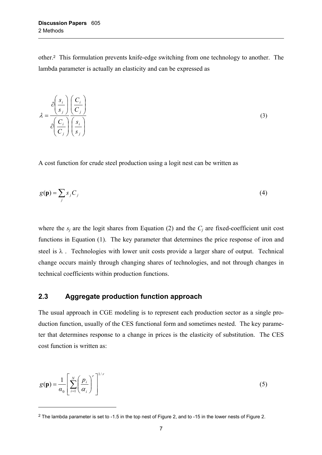<span id="page-12-0"></span>other.2This formulation prevents knife-edge switching from one technology to another. The lambda parameter is actually an elasticity and can be expressed as

$$
\lambda = \frac{\partial \left(\frac{s_i}{s_j}\right)}{\partial \left(\frac{C_i}{C_j}\right)} \left(\frac{\overline{C_i}}{\overline{S_j}}\right)
$$
(3)

A cost function for crude steel production using a logit nest can be written as

$$
g(\mathbf{p}) = \sum_{j} s_j C_j \tag{4}
$$

where the  $s_i$  are the logit shares from Equation (2) and the  $C_i$  are fixed-coefficient unit cost functions in Equation (1). The key parameter that determines the price response of iron and steel is  $\lambda$ . Technologies with lower unit costs provide a larger share of output. Technical change occurs mainly through changing shares of technologies, and not through changes in technical coefficients within production functions.

### **2.3 Aggregate production function approach**

 $\overline{a}$ 

The usual approach in CGE modeling is to represent each production sector as a single production function, usually of the CES functional form and sometimes nested. The key parameter that determines response to a change in prices is the elasticity of substitution. The CES cost function is written as:

$$
g(\mathbf{p}) = \frac{1}{\alpha_0} \left[ \sum_{i=1}^{N} \left( \frac{p_i}{\alpha_i} \right)^r \right]^{1/r}
$$
 (5)

<span id="page-12-1"></span><sup>2</sup> The lambda parameter is set to -1.5 in the top nest of Figure 2, and to -15 in the lower nests of Figure 2.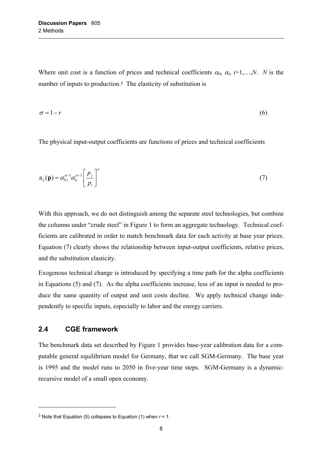<span id="page-13-0"></span>Where unit cost is a function of prices and technical coefficients  $\alpha_0$ ,  $\alpha_i$ ,  $i=1,...,N$ . *N* is the number of inputs to production.<sup>[3](#page-13-1)</sup> The elasticity of substitution is

$$
\sigma = 1 - r \tag{6}
$$

The physical input-output coefficients are functions of prices and technical coefficients

$$
a_{ij}(\mathbf{p}) = \alpha_{0j}^{\sigma-1} \alpha_{ij}^{\sigma-1} \left[ \frac{p_j}{p_i} \right]^{\sigma}
$$
 (7)

With this approach, we do not distinguish among the separate steel technologies, but combine the columns under "crude steel" in [Figure 1](#page-10-1) to form an aggregate technology. Technical coefficients are calibrated in order to match benchmark data for each activity at base year prices. Equation (7) clearly shows the relationship between input-output coefficients, relative prices, and the substitution elasticity.

Exogenous technical change is introduced by specifying a time path for the alpha coefficients in Equations (5) and (7). As the alpha coefficients increase, less of an input is needed to produce the same quantity of output and unit costs decline. We apply technical change independently to specific inputs, especially to labor and the energy carriers.

#### **2.4 CGE framework**

 $\overline{a}$ 

The benchmark data set described by [Figure 1](#page-10-1) provides base-year calibration data for a computable general equilibrium model for Germany, that we call SGM-Germany. The base year is 1995 and the model runs to 2050 in five-year time steps. SGM-Germany is a dynamicrecursive model of a small open economy.

<span id="page-13-1"></span><sup>&</sup>lt;sup>3</sup> Note that Equation (5) collapses to Equation (1) when  $r = 1$ .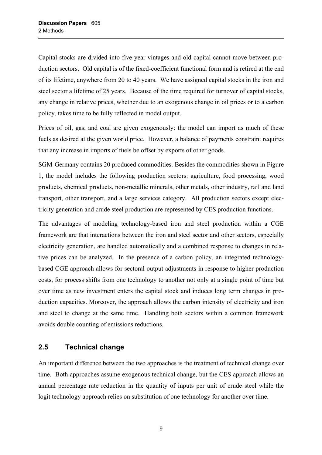<span id="page-14-0"></span>Capital stocks are divided into five-year vintages and old capital cannot move between production sectors. Old capital is of the fixed-coefficient functional form and is retired at the end of its lifetime, anywhere from 20 to 40 years. We have assigned capital stocks in the iron and steel sector a lifetime of 25 years. Because of the time required for turnover of capital stocks, any change in relative prices, whether due to an exogenous change in oil prices or to a carbon policy, takes time to be fully reflected in model output.

Prices of oil, gas, and coal are given exogenously: the model can import as much of these fuels as desired at the given world price. However, a balance of payments constraint requires that any increase in imports of fuels be offset by exports of other goods.

SGM-Germany contains 20 produced commodities. Besides the commodities shown in [Figure](#page-10-1)  [1,](#page-10-1) the model includes the following production sectors: agriculture, food processing, wood products, chemical products, non-metallic minerals, other metals, other industry, rail and land transport, other transport, and a large services category. All production sectors except electricity generation and crude steel production are represented by CES production functions.

The advantages of modeling technology-based iron and steel production within a CGE framework are that interactions between the iron and steel sector and other sectors, especially electricity generation, are handled automatically and a combined response to changes in relative prices can be analyzed. In the presence of a carbon policy, an integrated technologybased CGE approach allows for sectoral output adjustments in response to higher production costs, for process shifts from one technology to another not only at a single point of time but over time as new investment enters the capital stock and induces long term changes in production capacities. Moreover, the approach allows the carbon intensity of electricity and iron and steel to change at the same time. Handling both sectors within a common framework avoids double counting of emissions reductions.

#### <span id="page-14-1"></span>**2.5 Technical change**

An important difference between the two approaches is the treatment of technical change over time. Both approaches assume exogenous technical change, but the CES approach allows an annual percentage rate reduction in the quantity of inputs per unit of crude steel while the logit technology approach relies on substitution of one technology for another over time.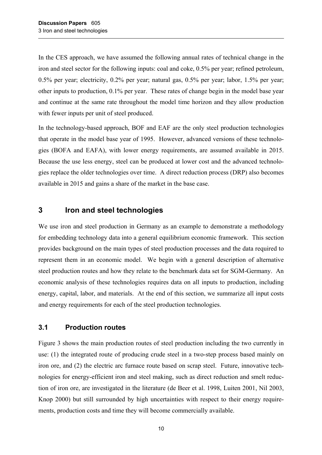<span id="page-15-0"></span>In the CES approach, we have assumed the following annual rates of technical change in the iron and steel sector for the following inputs: coal and coke, 0.5% per year; refined petroleum, 0.5% per year; electricity, 0.2% per year; natural gas, 0.5% per year; labor, 1.5% per year; other inputs to production, 0.1% per year. These rates of change begin in the model base year and continue at the same rate throughout the model time horizon and they allow production with fewer inputs per unit of steel produced.

In the technology-based approach, BOF and EAF are the only steel production technologies that operate in the model base year of 1995. However, advanced versions of these technologies (BOFA and EAFA), with lower energy requirements, are assumed available in 2015. Because the use less energy, steel can be produced at lower cost and the advanced technologies replace the older technologies over time. A direct reduction process (DRP) also becomes available in 2015 and gains a share of the market in the base case.

### **3 Iron and steel technologies**

We use iron and steel production in Germany as an example to demonstrate a methodology for embedding technology data into a general equilibrium economic framework. This section provides background on the main types of steel production processes and the data required to represent them in an economic model. We begin with a general description of alternative steel production routes and how they relate to the benchmark data set for SGM-Germany. An economic analysis of these technologies requires data on all inputs to production, including energy, capital, labor, and materials. At the end of this section, we summarize all input costs and energy requirements for each of the steel production technologies.

### **3.1 Production routes**

[Figure 3](#page-16-0) shows the main production routes of steel production including the two currently in use: (1) the integrated route of producing crude steel in a two-step process based mainly on iron ore, and (2) the electric arc furnace route based on scrap steel. Future, innovative technologies for energy-efficient iron and steel making, such as direct reduction and smelt reduction of iron ore, are investigated in the literature (de Beer et al. 1998, Luiten 2001, Nil 2003, Knop 2000) but still surrounded by high uncertainties with respect to their energy requirements, production costs and time they will become commercially available.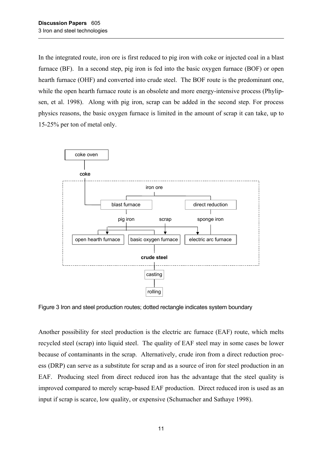In the integrated route, iron ore is first reduced to pig iron with coke or injected coal in a blast furnace (BF). In a second step, pig iron is fed into the basic oxygen furnace (BOF) or open hearth furnace (OHF) and converted into crude steel. The BOF route is the predominant one, while the open hearth furnace route is an obsolete and more energy-intensive process (Phylipsen, et al. 1998). Along with pig iron, scrap can be added in the second step. For process physics reasons, the basic oxygen furnace is limited in the amount of scrap it can take, up to 15-25% per ton of metal only.



<span id="page-16-0"></span>Figure 3 Iron and steel production routes; dotted rectangle indicates system boundary

Another possibility for steel production is the electric arc furnace (EAF) route, which melts recycled steel (scrap) into liquid steel. The quality of EAF steel may in some cases be lower because of contaminants in the scrap. Alternatively, crude iron from a direct reduction process (DRP) can serve as a substitute for scrap and as a source of iron for steel production in an EAF. Producing steel from direct reduced iron has the advantage that the steel quality is improved compared to merely scrap-based EAF production. Direct reduced iron is used as an input if scrap is scarce, low quality, or expensive (Schumacher and Sathaye 1998).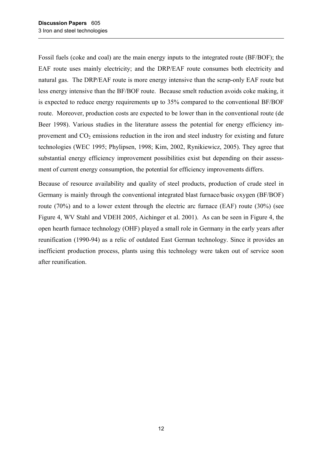Fossil fuels (coke and coal) are the main energy inputs to the integrated route (BF/BOF); the EAF route uses mainly electricity; and the DRP/EAF route consumes both electricity and natural gas. The DRP/EAF route is more energy intensive than the scrap-only EAF route but less energy intensive than the BF/BOF route. Because smelt reduction avoids coke making, it is expected to reduce energy requirements up to 35% compared to the conventional BF/BOF route. Moreover, production costs are expected to be lower than in the conventional route (de Beer 1998). Various studies in the literature assess the potential for energy efficiency improvement and  $CO<sub>2</sub>$  emissions reduction in the iron and steel industry for existing and future technologies (WEC 1995; Phylipsen, 1998; Kim, 2002, Rynikiewicz, 2005). They agree that substantial energy efficiency improvement possibilities exist but depending on their assessment of current energy consumption, the potential for efficiency improvements differs.

Because of resource availability and quality of steel products, production of crude steel in Germany is mainly through the conventional integrated blast furnace/basic oxygen (BF/BOF) route (70%) and to a lower extent through the electric arc furnace (EAF) route (30%) (see [Figure 4,](#page-18-2) WV Stahl and VDEH 2005, Aichinger et al. 2001). As can be seen in [Figure 4,](#page-18-2) the open hearth furnace technology (OHF) played a small role in Germany in the early years after reunification (1990-94) as a relic of outdated East German technology. Since it provides an inefficient production process, plants using this technology were taken out of service soon after reunification.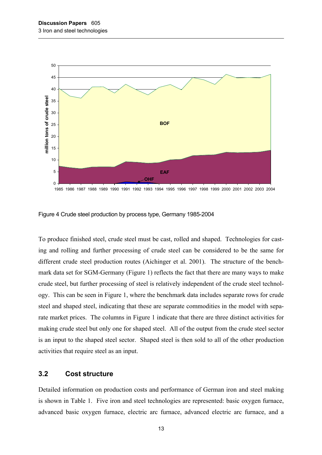<span id="page-18-0"></span>

1985 1986 1987 1988 1989 1990 1991 1992 1993 1994 1995 1996 1997 1998 1999 2000 2001 2002 2003 2004

<span id="page-18-2"></span>Figure 4 Crude steel production by process type, Germany 1985-2004

To produce finished steel, crude steel must be cast, rolled and shaped. Technologies for casting and rolling and further processing of crude steel can be considered to be the same for different crude steel production routes (Aichinger et al. 2001). The structure of the benchmark data set for SGM-Germany [\(Figure 1\)](#page-10-1) reflects the fact that there are many ways to make crude steel, but further processing of steel is relatively independent of the crude steel technology. This can be seen in [Figure 1,](#page-10-1) where the benchmark data includes separate rows for crude steel and shaped steel, indicating that these are separate commodities in the model with separate market prices. The columns in [Figure 1](#page-10-1) indicate that there are three distinct activities for making crude steel but only one for shaped steel. All of the output from the crude steel sector is an input to the shaped steel sector. Shaped steel is then sold to all of the other production activities that require steel as an input.

#### <span id="page-18-1"></span>**3.2 Cost structure**

Detailed information on production costs and performance of German iron and steel making is shown in [Table 1.](#page-20-1) Five iron and steel technologies are represented: basic oxygen furnace, advanced basic oxygen furnace, electric arc furnace, advanced electric arc furnace, and a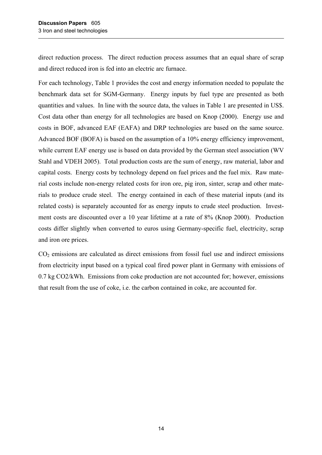direct reduction process. The direct reduction process assumes that an equal share of scrap and direct reduced iron is fed into an electric arc furnace.

For each technology, [Table 1](#page-20-1) provides the cost and energy information needed to populate the benchmark data set for SGM-Germany. Energy inputs by fuel type are presented as both quantities and values. In line with the source data, the values in [Table 1](#page-20-1) are presented in US\$. Cost data other than energy for all technologies are based on Knop (2000). Energy use and costs in BOF, advanced EAF (EAFA) and DRP technologies are based on the same source. Advanced BOF (BOFA) is based on the assumption of a 10% energy efficiency improvement, while current EAF energy use is based on data provided by the German steel association (WV Stahl and VDEH 2005). Total production costs are the sum of energy, raw material, labor and capital costs. Energy costs by technology depend on fuel prices and the fuel mix. Raw material costs include non-energy related costs for iron ore, pig iron, sinter, scrap and other materials to produce crude steel. The energy contained in each of these material inputs (and its related costs) is separately accounted for as energy inputs to crude steel production. Investment costs are discounted over a 10 year lifetime at a rate of 8% (Knop 2000). Production costs differ slightly when converted to euros using Germany-specific fuel, electricity, scrap and iron ore prices.

 $CO<sub>2</sub>$  emissions are calculated as direct emissions from fossil fuel use and indirect emissions from electricity input based on a typical coal fired power plant in Germany with emissions of 0.7 kg CO2/kWh. Emissions from coke production are not accounted for; however, emissions that result from the use of coke, i.e. the carbon contained in coke, are accounted for.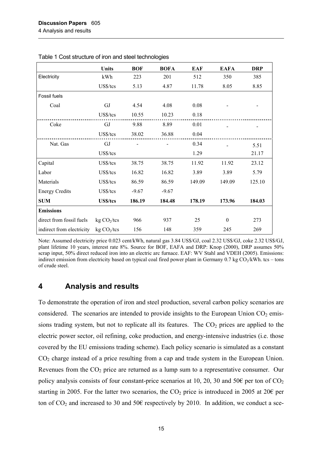|                           | <b>Units</b>            | <b>BOF</b> | <b>BOFA</b> | <b>EAF</b> | <b>EAFA</b> | <b>DRP</b> |
|---------------------------|-------------------------|------------|-------------|------------|-------------|------------|
| Electricity               | kWh                     | 223        | 201         | 512        | 350         | 385        |
|                           | US\$/tcs                | 5.13       | 4.87        | 11.78      | 8.05        | 8.85       |
| Fossil fuels              |                         |            |             |            |             |            |
| Coal                      | GJ                      | 4.54       | 4.08        | 0.08       |             |            |
|                           | US\$/tcs                | 10.55      | 10.23       | 0.18       |             |            |
| Coke                      | GJ                      | 9.88       | 8.89        | 0.01       |             |            |
|                           | US\$/tcs                | 38.02      | 36.88       | 0.04       |             |            |
| Nat. Gas                  | GJ                      |            |             | 0.34       |             | 5.51       |
|                           | US\$/tcs                |            |             | 1.29       |             | 21.17      |
| Capital                   | US\$/tcs                | 38.75      | 38.75       | 11.92      | 11.92       | 23.12      |
| Labor                     | US\$/tcs                | 16.82      | 16.82       | 3.89       | 3.89        | 5.79       |
| Materials                 | US\$/tcs                | 86.59      | 86.59       | 149.09     | 149.09      | 125.10     |
| <b>Energy Credits</b>     | US\$/tcs                | $-9.67$    | $-9.67$     |            |             |            |
| <b>SUM</b>                | <b>US\$/tcs</b>         | 186.19     | 184.48      | 178.19     | 173.96      | 184.03     |
| <b>Emissions</b>          |                         |            |             |            |             |            |
| direct from fossil fuels  | kg CO <sub>2</sub> /tcs | 966        | 937         | 25         | $\theta$    | 273        |
| indirect from electricity | kg CO <sub>2</sub> /tcs | 156        | 148         | 359        | 245         | 269        |

<span id="page-20-1"></span><span id="page-20-0"></span>Table 1 Cost structure of iron and steel technologies

Note: Assumed electricity price 0.023 cent/kWh, natural gas 3.84 US\$/GJ, coal 2.32 US\$/GJ, coke 2.32 US\$/GJ, plant lifetime 10 years, interest rate 8%. Source for BOF, EAFA and DRP: Knop (2000), DRP assumes 50% scrap input, 50% direct reduced iron into an electric arc furnace. EAF: WV Stahl and VDEH (2005). Emissions: indirect emission from electricity based on typical coal fired power plant in Germany  $0.7$  kg CO<sub>2</sub>/kWh. tcs – tons of crude steel.

## **4 Analysis and results**

To demonstrate the operation of iron and steel production, several carbon policy scenarios are considered. The scenarios are intended to provide insights to the European Union  $CO<sub>2</sub>$  emissions trading system, but not to replicate all its features. The  $CO<sub>2</sub>$  prices are applied to the electric power sector, oil refining, coke production, and energy-intensive industries (i.e. those covered by the EU emissions trading scheme). Each policy scenario is simulated as a constant CO<sub>2</sub> charge instead of a price resulting from a cap and trade system in the European Union. Revenues from the CO<sub>2</sub> price are returned as a lump sum to a representative consumer. Our policy analysis consists of four constant-price scenarios at 10, 20, 30 and 50 $\epsilon$  per ton of CO<sub>2</sub> starting in 2005. For the latter two scenarios, the  $CO<sub>2</sub>$  price is introduced in 2005 at 20 $\epsilon$  per ton of  $CO_2$  and increased to 30 and 50 $\epsilon$  respectively by 2010. In addition, we conduct a sce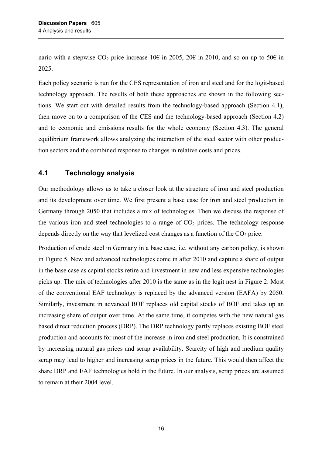<span id="page-21-0"></span>nario with a stepwise CO<sub>2</sub> price increase 10€ in 2005, 20€ in 2010, and so on up to 50€ in 2025.

Each policy scenario is run for the CES representation of iron and steel and for the logit-based technology approach. The results of both these approaches are shown in the following sections. We start out with detailed results from the technology-based approach (Section [4.1\)](#page-21-1), then move on to a comparison of the CES and the technology-based approach (Section 4.2) and to economic and emissions results for the whole economy (Section [4.3\)](#page-28-1). The general equilibrium framework allows analyzing the interaction of the steel sector with other production sectors and the combined response to changes in relative costs and prices.

### <span id="page-21-1"></span>**4.1 Technology analysis**

Our methodology allows us to take a closer look at the structure of iron and steel production and its development over time. We first present a base case for iron and steel production in Germany through 2050 that includes a mix of technologies. Then we discuss the response of the various iron and steel technologies to a range of  $CO<sub>2</sub>$  prices. The technology response depends directly on the way that levelized cost changes as a function of the  $CO<sub>2</sub>$  price.

Production of crude steel in Germany in a base case, i.e. without any carbon policy, is shown in [Figure 5.](#page-22-0) New and advanced technologies come in after 2010 and capture a share of output in the base case as capital stocks retire and investment in new and less expensive technologies picks up. The mix of technologies after 2010 is the same as in the logit nest in [Figure 2.](#page-11-0) Most of the conventional EAF technology is replaced by the advanced version (EAFA) by 2050. Similarly, investment in advanced BOF replaces old capital stocks of BOF and takes up an increasing share of output over time. At the same time, it competes with the new natural gas based direct reduction process (DRP). The DRP technology partly replaces existing BOF steel production and accounts for most of the increase in iron and steel production. It is constrained by increasing natural gas prices and scrap availability. Scarcity of high and medium quality scrap may lead to higher and increasing scrap prices in the future. This would then affect the share DRP and EAF technologies hold in the future. In our analysis, scrap prices are assumed to remain at their 2004 level.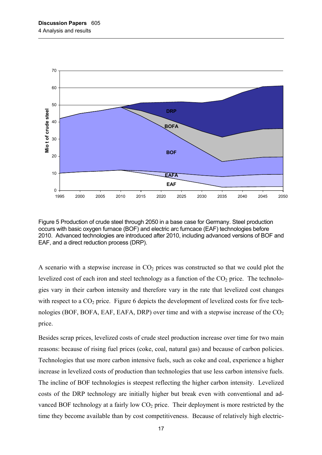

<span id="page-22-0"></span>Figure 5 Production of crude steel through 2050 in a base case for Germany. Steel production occurs with basic oxygen furnace (BOF) and electric arc furncace (EAF) technologies before 2010. Advanced technologies are introduced after 2010, including advanced versions of BOF and EAF, and a direct reduction process (DRP).

A scenario with a stepwise increase in  $CO<sub>2</sub>$  prices was constructed so that we could plot the levelized cost of each iron and steel technology as a function of the  $CO<sub>2</sub>$  price. The technologies vary in their carbon intensity and therefore vary in the rate that levelized cost changes with respect to a  $CO<sub>2</sub>$  price. [Figure 6](#page-23-0) depicts the development of levelized costs for five technologies (BOF, BOFA, EAF, EAFA, DRP) over time and with a stepwise increase of the  $CO<sub>2</sub>$ price.

Besides scrap prices, levelized costs of crude steel production increase over time for two main reasons: because of rising fuel prices (coke, coal, natural gas) and because of carbon policies. Technologies that use more carbon intensive fuels, such as coke and coal, experience a higher increase in levelized costs of production than technologies that use less carbon intensive fuels. The incline of BOF technologies is steepest reflecting the higher carbon intensity. Levelized costs of the DRP technology are initially higher but break even with conventional and advanced BOF technology at a fairly low  $CO<sub>2</sub>$  price. Their deployment is more restricted by the time they become available than by cost competitiveness. Because of relatively high electric-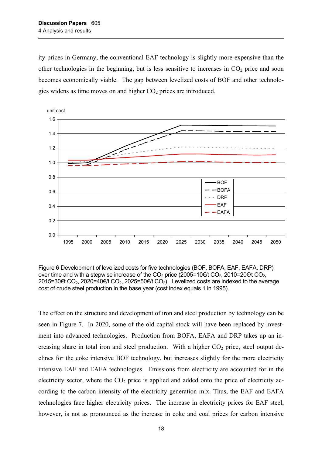ity prices in Germany, the conventional EAF technology is slightly more expensive than the other technologies in the beginning, but is less sensitive to increases in  $CO<sub>2</sub>$  price and soon becomes economically viable. The gap between levelized costs of BOF and other technologies widens as time moves on and higher  $CO<sub>2</sub>$  prices are introduced.



<span id="page-23-0"></span>Figure 6 Development of levelized costs for five technologies (BOF, BOFA, EAF, EAFA, DRP) over time and with a stepwise increase of the  $CO_2$  price (2005=10€/t  $CO_2$ , 2010=20€/t  $CO_2$ , 2015=30€t CO<sub>2</sub>, 2020=40€/t CO<sub>2</sub>, 2025=50€/t CO<sub>2</sub>). Levelized costs are indexed to the average cost of crude steel production in the base year (cost index equals 1 in 1995).

The effect on the structure and development of iron and steel production by technology can be seen in [Figure 7.](#page-24-1) In 2020, some of the old capital stock will have been replaced by investment into advanced technologies. Production from BOFA, EAFA and DRP takes up an increasing share in total iron and steel production. With a higher  $CO<sub>2</sub>$  price, steel output declines for the coke intensive BOF technology, but increases slightly for the more electricity intensive EAF and EAFA technologies. Emissions from electricity are accounted for in the electricity sector, where the  $CO<sub>2</sub>$  price is applied and added onto the price of electricity according to the carbon intensity of the electricity generation mix. Thus, the EAF and EAFA technologies face higher electricity prices. The increase in electricity prices for EAF steel, however, is not as pronounced as the increase in coke and coal prices for carbon intensive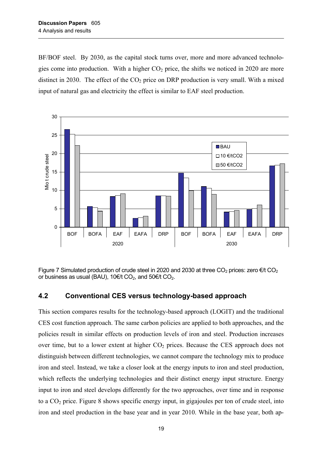<span id="page-24-0"></span>BF/BOF steel. By 2030, as the capital stock turns over, more and more advanced technologies come into production. With a higher  $CO<sub>2</sub>$  price, the shifts we noticed in 2020 are more distinct in 2030. The effect of the  $CO<sub>2</sub>$  price on DRP production is very small. With a mixed input of natural gas and electricity the effect is similar to EAF steel production.



<span id="page-24-1"></span>Figure 7 Simulated production of crude steel in 2020 and 2030 at three CO<sub>2</sub> prices: zero  $\epsilon/t$  CO<sub>2</sub> or business as usual (BAU), 10€/t CO<sub>2</sub>, and 50€/t CO<sub>2</sub>.

### **4.2 Conventional CES versus technology-based approach**

This section compares results for the technology-based approach (LOGIT) and the traditional CES cost function approach. The same carbon policies are applied to both approaches, and the policies result in similar effects on production levels of iron and steel. Production increases over time, but to a lower extent at higher  $CO<sub>2</sub>$  prices. Because the CES approach does not distinguish between different technologies, we cannot compare the technology mix to produce iron and steel. Instead, we take a closer look at the energy inputs to iron and steel production, which reflects the underlying technologies and their distinct energy input structure. Energy input to iron and steel develops differently for the two approaches, over time and in response to a  $CO<sub>2</sub>$  price. [Figure 8](#page-26-0) shows specific energy input, in gigajoules per ton of crude steel, into iron and steel production in the base year and in year 2010. While in the base year, both ap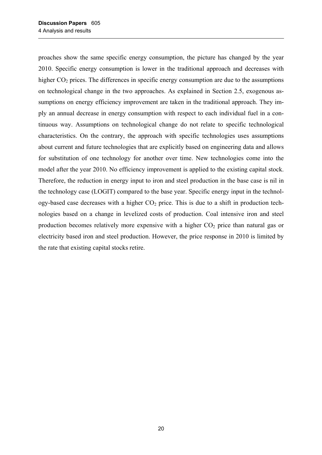proaches show the same specific energy consumption, the picture has changed by the year 2010. Specific energy consumption is lower in the traditional approach and decreases with higher  $CO<sub>2</sub>$  prices. The differences in specific energy consumption are due to the assumptions on technological change in the two approaches. As explained in Section [2.5,](#page-14-1) exogenous assumptions on energy efficiency improvement are taken in the traditional approach. They imply an annual decrease in energy consumption with respect to each individual fuel in a continuous way. Assumptions on technological change do not relate to specific technological characteristics. On the contrary, the approach with specific technologies uses assumptions about current and future technologies that are explicitly based on engineering data and allows for substitution of one technology for another over time. New technologies come into the model after the year 2010. No efficiency improvement is applied to the existing capital stock. Therefore, the reduction in energy input to iron and steel production in the base case is nil in the technology case (LOGIT) compared to the base year. Specific energy input in the technology-based case decreases with a higher  $CO<sub>2</sub>$  price. This is due to a shift in production technologies based on a change in levelized costs of production. Coal intensive iron and steel production becomes relatively more expensive with a higher  $CO<sub>2</sub>$  price than natural gas or electricity based iron and steel production. However, the price response in 2010 is limited by the rate that existing capital stocks retire.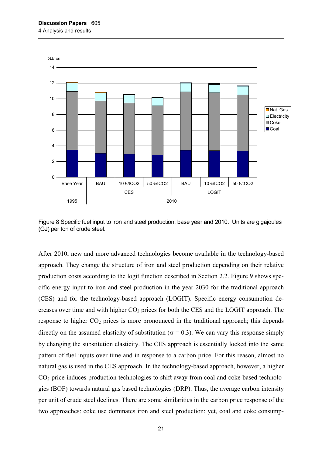

<span id="page-26-0"></span>Figure 8 Specific fuel input to iron and steel production, base year and 2010. Units are gigajoules (GJ) per ton of crude steel.

After 2010, new and more advanced technologies become available in the technology-based approach. They change the structure of iron and steel production depending on their relative production costs according to the logit function described in Section [2.2.](#page-10-2) [Figure 9](#page-27-0) shows specific energy input to iron and steel production in the year 2030 for the traditional approach (CES) and for the technology-based approach (LOGIT). Specific energy consumption decreases over time and with higher  $CO<sub>2</sub>$  prices for both the CES and the LOGIT approach. The response to higher  $CO<sub>2</sub>$  prices is more pronounced in the traditional approach; this depends directly on the assumed elasticity of substitution ( $\sigma$  = 0.3). We can vary this response simply by changing the substitution elasticity. The CES approach is essentially locked into the same pattern of fuel inputs over time and in response to a carbon price. For this reason, almost no natural gas is used in the CES approach. In the technology-based approach, however, a higher CO<sub>2</sub> price induces production technologies to shift away from coal and coke based technologies (BOF) towards natural gas based technologies (DRP). Thus, the average carbon intensity per unit of crude steel declines. There are some similarities in the carbon price response of the two approaches: coke use dominates iron and steel production; yet, coal and coke consump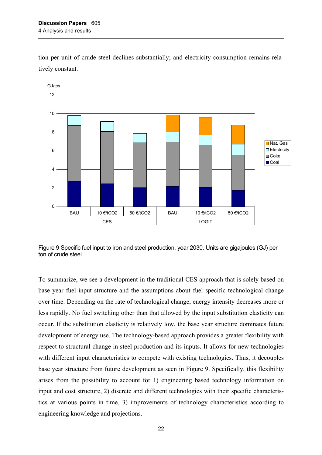tion per unit of crude steel declines substantially; and electricity consumption remains relatively constant.



<span id="page-27-0"></span>Figure 9 Specific fuel input to iron and steel production, year 2030. Units are gigajoules (GJ) per ton of crude steel.

To summarize, we see a development in the traditional CES approach that is solely based on base year fuel input structure and the assumptions about fuel specific technological change over time. Depending on the rate of technological change, energy intensity decreases more or less rapidly. No fuel switching other than that allowed by the input substitution elasticity can occur. If the substitution elasticity is relatively low, the base year structure dominates future development of energy use. The technology-based approach provides a greater flexibility with respect to structural change in steel production and its inputs. It allows for new technologies with different input characteristics to compete with existing technologies. Thus, it decouples base year structure from future development as seen in [Figure 9.](#page-27-0) Specifically, this flexibility arises from the possibility to account for 1) engineering based technology information on input and cost structure, 2) discrete and different technologies with their specific characteristics at various points in time, 3) improvements of technology characteristics according to engineering knowledge and projections.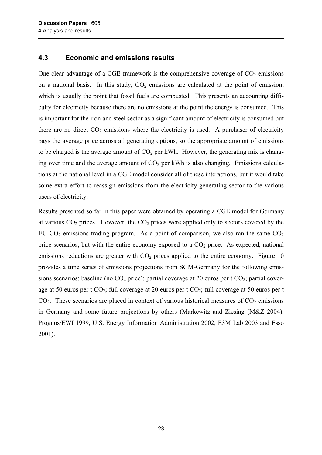#### <span id="page-28-1"></span><span id="page-28-0"></span>**4.3 Economic and emissions results**

One clear advantage of a CGE framework is the comprehensive coverage of  $CO<sub>2</sub>$  emissions on a national basis. In this study,  $CO<sub>2</sub>$  emissions are calculated at the point of emission, which is usually the point that fossil fuels are combusted. This presents an accounting difficulty for electricity because there are no emissions at the point the energy is consumed. This is important for the iron and steel sector as a significant amount of electricity is consumed but there are no direct  $CO<sub>2</sub>$  emissions where the electricity is used. A purchaser of electricity pays the average price across all generating options, so the appropriate amount of emissions to be charged is the average amount of  $CO<sub>2</sub>$  per kWh. However, the generating mix is changing over time and the average amount of  $CO<sub>2</sub>$  per kWh is also changing. Emissions calculations at the national level in a CGE model consider all of these interactions, but it would take some extra effort to reassign emissions from the electricity-generating sector to the various users of electricity.

Results presented so far in this paper were obtained by operating a CGE model for Germany at various  $CO<sub>2</sub>$  prices. However, the  $CO<sub>2</sub>$  prices were applied only to sectors covered by the EU CO<sub>2</sub> emissions trading program. As a point of comparison, we also ran the same  $CO<sub>2</sub>$ price scenarios, but with the entire economy exposed to a  $CO<sub>2</sub>$  price. As expected, national emissions reductions are greater with  $CO<sub>2</sub>$  prices applied to the entire economy. Figure 10 provides a time series of emissions projections from SGM-Germany for the following emissions scenarios: baseline (no  $CO<sub>2</sub>$  price); partial coverage at 20 euros per t  $CO<sub>2</sub>$ ; partial coverage at 50 euros per t  $CO_2$ ; full coverage at 20 euros per t  $CO_2$ ; full coverage at 50 euros per t  $CO<sub>2</sub>$ . These scenarios are placed in context of various historical measures of  $CO<sub>2</sub>$  emissions in Germany and some future projections by others (Markewitz and Ziesing (M&Z 2004), Prognos/EWI 1999, U.S. Energy Information Administration 2002, E3M Lab 2003 and Esso 2001).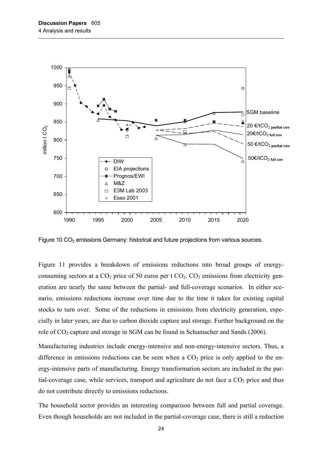

<span id="page-29-0"></span>Figure 10  $CO<sub>2</sub>$  emissions Germany: historical and future projections from various sources.

[Figure 11](#page-30-0) provides a breakdown of emissions reductions into broad groups of energyconsuming sectors at a  $CO_2$  price of 50 euros per t  $CO_2$ .  $CO_2$  emissions from electricity generation are nearly the same between the partial- and full-coverage scenarios. In either scenario, emissions reductions increase over time due to the time it takes for existing capital stocks to turn over. Some of the reductions in emissions from electricity generation, especially in later years, are due to carbon dioxide capture and storage. Further background on the role of CO<sub>2</sub> capture and storage in SGM can be found in Schumacher and Sands (2006).

Manufacturing industries include energy-intensive and non-energy-intensive sectors. Thus, a difference in emissions reductions can be seen when a  $CO<sub>2</sub>$  price is only applied to the energy-intensive parts of manufacturing. Energy transformation sectors are included in the partial-coverage case, while services, transport and agriculture do not face a  $CO<sub>2</sub>$  price and thus do not contribute directly to emissions reductions.

The household sector provides an interesting comparison between full and partial coverage. Even though households are not included in the partial-coverage case, there is still a reduction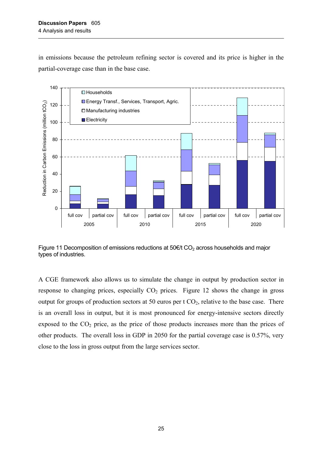in emissions because the petroleum refining sector is covered and its price is higher in the partial-coverage case than in the base case.



<span id="page-30-0"></span>Figure 11 Decomposition of emissions reductions at  $50 \text{E/t}$  CO<sub>2</sub> across households and major types of industries.

A CGE framework also allows us to simulate the change in output by production sector in response to changing prices, especially  $CO<sub>2</sub>$  prices. [Figure 12](#page-31-1) shows the change in gross output for groups of production sectors at 50 euros per t  $CO<sub>2</sub>$ , relative to the base case. There is an overall loss in output, but it is most pronounced for energy-intensive sectors directly exposed to the  $CO<sub>2</sub>$  price, as the price of those products increases more than the prices of other products. The overall loss in GDP in 2050 for the partial coverage case is 0.57%, very close to the loss in gross output from the large services sector.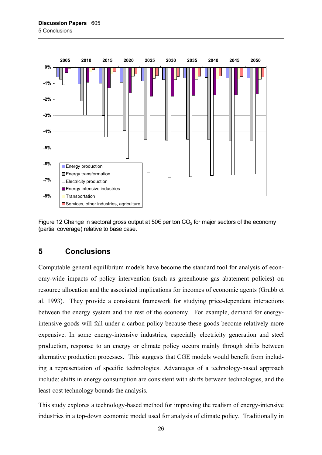<span id="page-31-0"></span>

<span id="page-31-1"></span>Figure 12 Change in sectoral gross output at 50 $\epsilon$  per ton CO<sub>2</sub> for major sectors of the economy (partial coverage) relative to base case.

## **5 Conclusions**

Computable general equilibrium models have become the standard tool for analysis of economy-wide impacts of policy intervention (such as greenhouse gas abatement policies) on resource allocation and the associated implications for incomes of economic agents (Grubb et al. 1993). They provide a consistent framework for studying price-dependent interactions between the energy system and the rest of the economy. For example, demand for energyintensive goods will fall under a carbon policy because these goods become relatively more expensive. In some energy-intensive industries, especially electricity generation and steel production, response to an energy or climate policy occurs mainly through shifts between alternative production processes. This suggests that CGE models would benefit from including a representation of specific technologies. Advantages of a technology-based approach include: shifts in energy consumption are consistent with shifts between technologies, and the least-cost technology bounds the analysis.

This study explores a technology-based method for improving the realism of energy-intensive industries in a top-down economic model used for analysis of climate policy. Traditionally in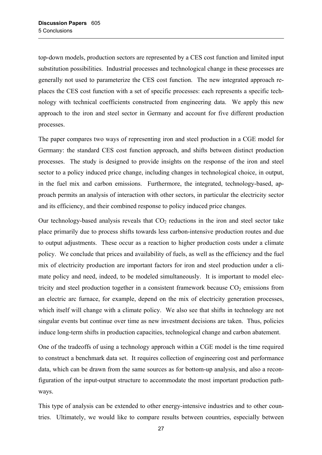top-down models, production sectors are represented by a CES cost function and limited input substitution possibilities. Industrial processes and technological change in these processes are generally not used to parameterize the CES cost function. The new integrated approach replaces the CES cost function with a set of specific processes: each represents a specific technology with technical coefficients constructed from engineering data. We apply this new approach to the iron and steel sector in Germany and account for five different production processes.

The paper compares two ways of representing iron and steel production in a CGE model for Germany: the standard CES cost function approach, and shifts between distinct production processes. The study is designed to provide insights on the response of the iron and steel sector to a policy induced price change, including changes in technological choice, in output, in the fuel mix and carbon emissions. Furthermore, the integrated, technology-based, approach permits an analysis of interaction with other sectors, in particular the electricity sector and its efficiency, and their combined response to policy induced price changes.

Our technology-based analysis reveals that  $CO<sub>2</sub>$  reductions in the iron and steel sector take place primarily due to process shifts towards less carbon-intensive production routes and due to output adjustments. These occur as a reaction to higher production costs under a climate policy. We conclude that prices and availability of fuels, as well as the efficiency and the fuel mix of electricity production are important factors for iron and steel production under a climate policy and need, indeed, to be modeled simultaneously. It is important to model electricity and steel production together in a consistent framework because  $CO<sub>2</sub>$  emissions from an electric arc furnace, for example, depend on the mix of electricity generation processes, which itself will change with a climate policy. We also see that shifts in technology are not singular events but continue over time as new investment decisions are taken. Thus, policies induce long-term shifts in production capacities, technological change and carbon abatement.

One of the tradeoffs of using a technology approach within a CGE model is the time required to construct a benchmark data set. It requires collection of engineering cost and performance data, which can be drawn from the same sources as for bottom-up analysis, and also a reconfiguration of the input-output structure to accommodate the most important production pathways.

This type of analysis can be extended to other energy-intensive industries and to other countries. Ultimately, we would like to compare results between countries, especially between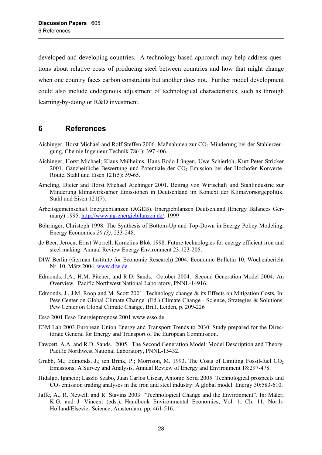<span id="page-33-0"></span>developed and developing countries. A technology-based approach may help address questions about relative costs of producing steel between countries and how that might change when one country faces carbon constraints but another does not. Further model development could also include endogenous adjustment of technological characteristics, such as through learning-by-doing or R&D investment.

## **6 References**

- Aichinger, Horst Michael and Rolf Steffen 2006. Maßnahmen zur CO<sub>2</sub>-Minderung bei der Stahlerzeugung, Chemie Ingenieur Technik 78(4): 397-406.
- Aichinger, Horst Michael; Klaus Mülheims, Hans Bodo Lüngen, Uwe Schierloh, Kurt Peter Stricker 2001. Ganzheitliche Bewertung und Potentiale der CO<sub>2</sub> Emission bei der Hochofen-Konverte-Route. Stahl und Eisen 121(5): 59-65.
- Ameling, Dieter and Horst Michael Aichinger 2001. Beitrag von Wirtschaft und Stahlindustrie zur Minderung klimawirksamer Emissionen in Deutschland im Kontext der Klimavorsorgepolitik, Stahl und Eisen 121(7).
- Arbeitsgemeinschaft Energiebilanzen (AGEB). Energiebilanzen Deutschland (Energy Balances Germany) 1995. <http://www.ag-energiebilanzen.de/>. 1999
- Böhringer, Christoph 1998. The Synthesis of Bottom-Up and Top-Down in Energy Policy Modeling, Energy Economics *20 (3)*, 233-248.
- de Beer, Jeroen; Ernst Worrell, Kornelius Blok 1998. Future technologies for energy efficient iron and steel making. Annual Review Energy Environment 23:123-205.
- DIW Berlin (German Institute for Economic Research) 2004. Economic Bulletin 10, Wochenbericht Nr. 10, März 2004. [www.diw.de](http://www.diw.de/).
- Edmonds, J.A., H.M. Pitcher, and R.D. Sands. October 2004. Second Generation Model 2004: An Overview. Pacific Northwest National Laboratory, PNNL-14916.
- Edmonds, J., J.M. Roop and M. Scott 2001. Technology change & its Effects on Mitigation Costs, In: Pew Center on Global Climate Change (Ed.) Climate Change - Science, Strategies & Solutions, Pew Center on Global Climate Change, Brill, Leiden, p. 209-226
- Esso 2001 Esso Energieprognose 2001 www.esso.de
- E3M Lab 2003 European Union Energy and Transport Trends to 2030. Study prepared for the Directorate General for Energy and Transport of the European Commission.
- Fawcett, A.A. and R.D. Sands. 2005. The Second Generation Model: Model Description and Theory. Pacific Northwest National Laboratory, PNNL-15432.
- Grubb, M.; Edmonds, J.; ten Brink, P.; Morrison, M. 1993. The Costs of Limiting Fossil-fuel  $CO<sub>2</sub>$ Emissions; A Survey and Analysis. Annual Review of Energy and Environment 18:297-478.
- Hidalgo, Igancio; Laszlo Szabo, Juan Carlos Ciscar, Antonio Soria 2005. Technological prospects and CO<sub>2</sub> emission trading analyses in the iron and steel industry: A global model. Energy 30:583-610.
- Jaffe, A., R. Newell, and R. Stavins 2003. "Technological Change and the Environment". In: Mäler, K.G. and J. Vincent (eds.), Handbook Environmental Economics, Vol. 1, Ch. 11, North-Holland/Elsevier Science, Amsterdam, pp. 461-516.